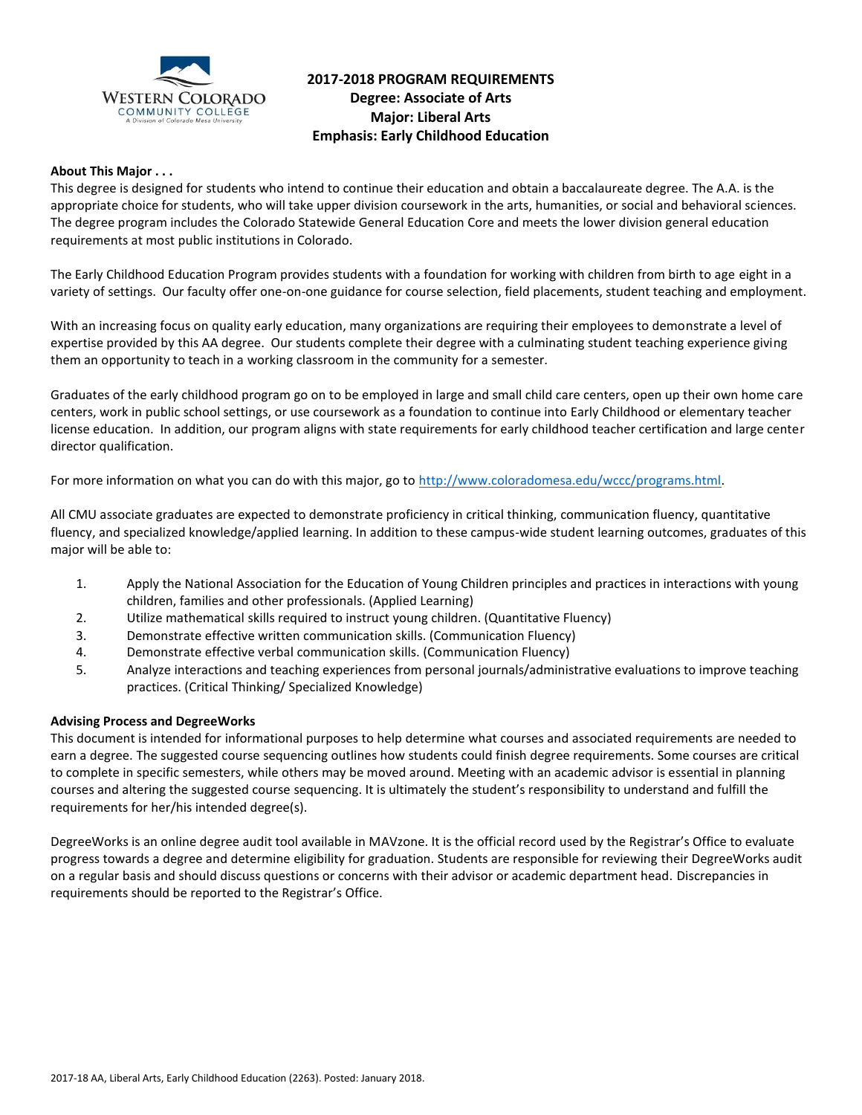

### **2017-2018 PROGRAM REQUIREMENTS Degree: Associate of Arts Major: Liberal Arts Emphasis: Early Childhood Education**

#### **About This Major . . .**

This degree is designed for students who intend to continue their education and obtain a baccalaureate degree. The A.A. is the appropriate choice for students, who will take upper division coursework in the arts, humanities, or social and behavioral sciences. The degree program includes the Colorado Statewide General Education Core and meets the lower division general education requirements at most public institutions in Colorado.

The Early Childhood Education Program provides students with a foundation for working with children from birth to age eight in a variety of settings. Our faculty offer one-on-one guidance for course selection, field placements, student teaching and employment.

With an increasing focus on quality early education, many organizations are requiring their employees to demonstrate a level of expertise provided by this AA degree. Our students complete their degree with a culminating student teaching experience giving them an opportunity to teach in a working classroom in the community for a semester.

Graduates of the early childhood program go on to be employed in large and small child care centers, open up their own home care centers, work in public school settings, or use coursework as a foundation to continue into Early Childhood or elementary teacher license education. In addition, our program aligns with state requirements for early childhood teacher certification and large center director qualification.

For more information on what you can do with this major, go to [http://www.coloradomesa.edu/wccc/programs.html.](http://www.coloradomesa.edu/wccc/programs.html)

All CMU associate graduates are expected to demonstrate proficiency in critical thinking, communication fluency, quantitative fluency, and specialized knowledge/applied learning. In addition to these campus-wide student learning outcomes, graduates of this major will be able to:

- 1. Apply the National Association for the Education of Young Children principles and practices in interactions with young children, families and other professionals. (Applied Learning)
- 2. Utilize mathematical skills required to instruct young children. (Quantitative Fluency)
- 3. Demonstrate effective written communication skills. (Communication Fluency)
- 4. Demonstrate effective verbal communication skills. (Communication Fluency)
- 5. Analyze interactions and teaching experiences from personal journals/administrative evaluations to improve teaching practices. (Critical Thinking/ Specialized Knowledge)

#### **Advising Process and DegreeWorks**

This document is intended for informational purposes to help determine what courses and associated requirements are needed to earn a degree. The suggested course sequencing outlines how students could finish degree requirements. Some courses are critical to complete in specific semesters, while others may be moved around. Meeting with an academic advisor is essential in planning courses and altering the suggested course sequencing. It is ultimately the student's responsibility to understand and fulfill the requirements for her/his intended degree(s).

DegreeWorks is an online degree audit tool available in MAVzone. It is the official record used by the Registrar's Office to evaluate progress towards a degree and determine eligibility for graduation. Students are responsible for reviewing their DegreeWorks audit on a regular basis and should discuss questions or concerns with their advisor or academic department head. Discrepancies in requirements should be reported to the Registrar's Office.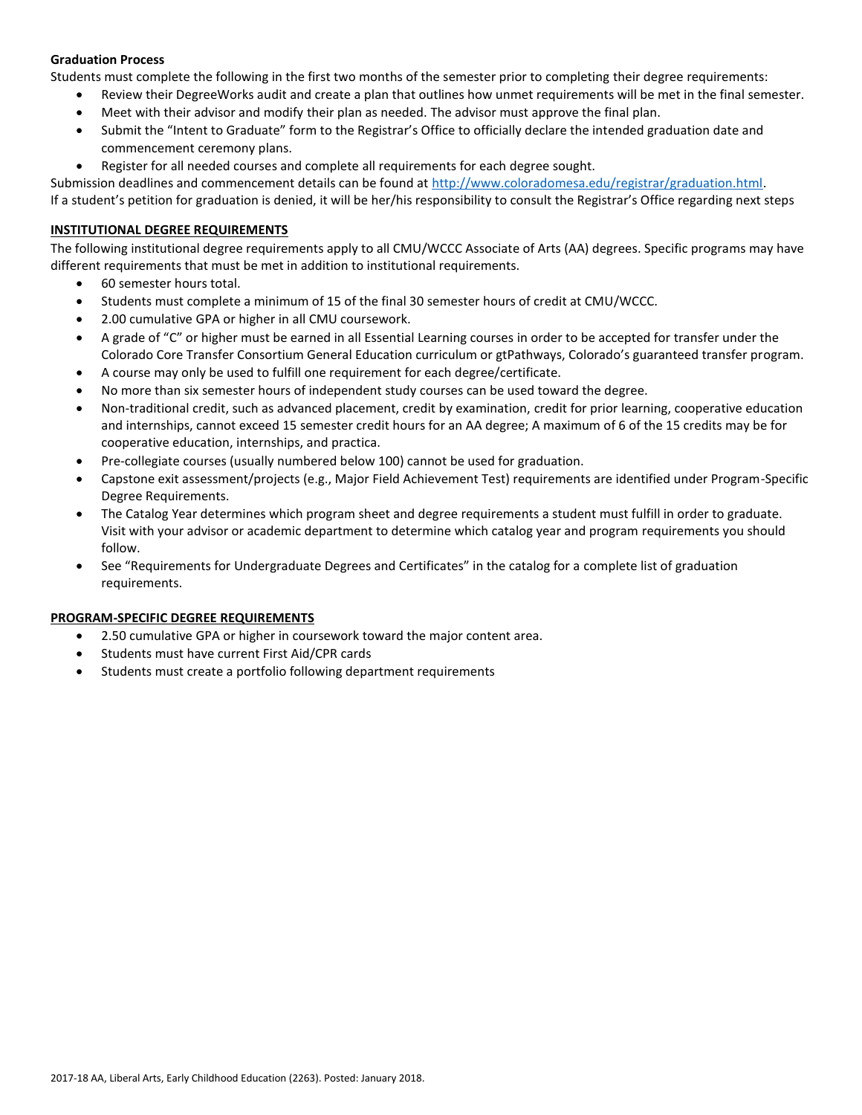#### **Graduation Process**

Students must complete the following in the first two months of the semester prior to completing their degree requirements:

- Review their DegreeWorks audit and create a plan that outlines how unmet requirements will be met in the final semester.
- Meet with their advisor and modify their plan as needed. The advisor must approve the final plan.
- Submit the "Intent to Graduate" form to the Registrar's Office to officially declare the intended graduation date and commencement ceremony plans.
- Register for all needed courses and complete all requirements for each degree sought.

Submission deadlines and commencement details can be found at [http://www.coloradomesa.edu/registrar/graduation.html.](http://www.coloradomesa.edu/registrar/graduation.html)

If a student's petition for graduation is denied, it will be her/his responsibility to consult the Registrar's Office regarding next steps

### **INSTITUTIONAL DEGREE REQUIREMENTS**

The following institutional degree requirements apply to all CMU/WCCC Associate of Arts (AA) degrees. Specific programs may have different requirements that must be met in addition to institutional requirements.

- 60 semester hours total.
- Students must complete a minimum of 15 of the final 30 semester hours of credit at CMU/WCCC.
- 2.00 cumulative GPA or higher in all CMU coursework.
- A grade of "C" or higher must be earned in all Essential Learning courses in order to be accepted for transfer under the Colorado Core Transfer Consortium General Education curriculum or gtPathways, Colorado's guaranteed transfer program.
- A course may only be used to fulfill one requirement for each degree/certificate.
- No more than six semester hours of independent study courses can be used toward the degree.
- Non-traditional credit, such as advanced placement, credit by examination, credit for prior learning, cooperative education and internships, cannot exceed 15 semester credit hours for an AA degree; A maximum of 6 of the 15 credits may be for cooperative education, internships, and practica.
- Pre-collegiate courses (usually numbered below 100) cannot be used for graduation.
- Capstone exit assessment/projects (e.g., Major Field Achievement Test) requirements are identified under Program-Specific Degree Requirements.
- The Catalog Year determines which program sheet and degree requirements a student must fulfill in order to graduate. Visit with your advisor or academic department to determine which catalog year and program requirements you should follow.
- See "Requirements for Undergraduate Degrees and Certificates" in the catalog for a complete list of graduation requirements.

#### **PROGRAM-SPECIFIC DEGREE REQUIREMENTS**

- 2.50 cumulative GPA or higher in coursework toward the major content area.
- Students must have current First Aid/CPR cards
- Students must create a portfolio following department requirements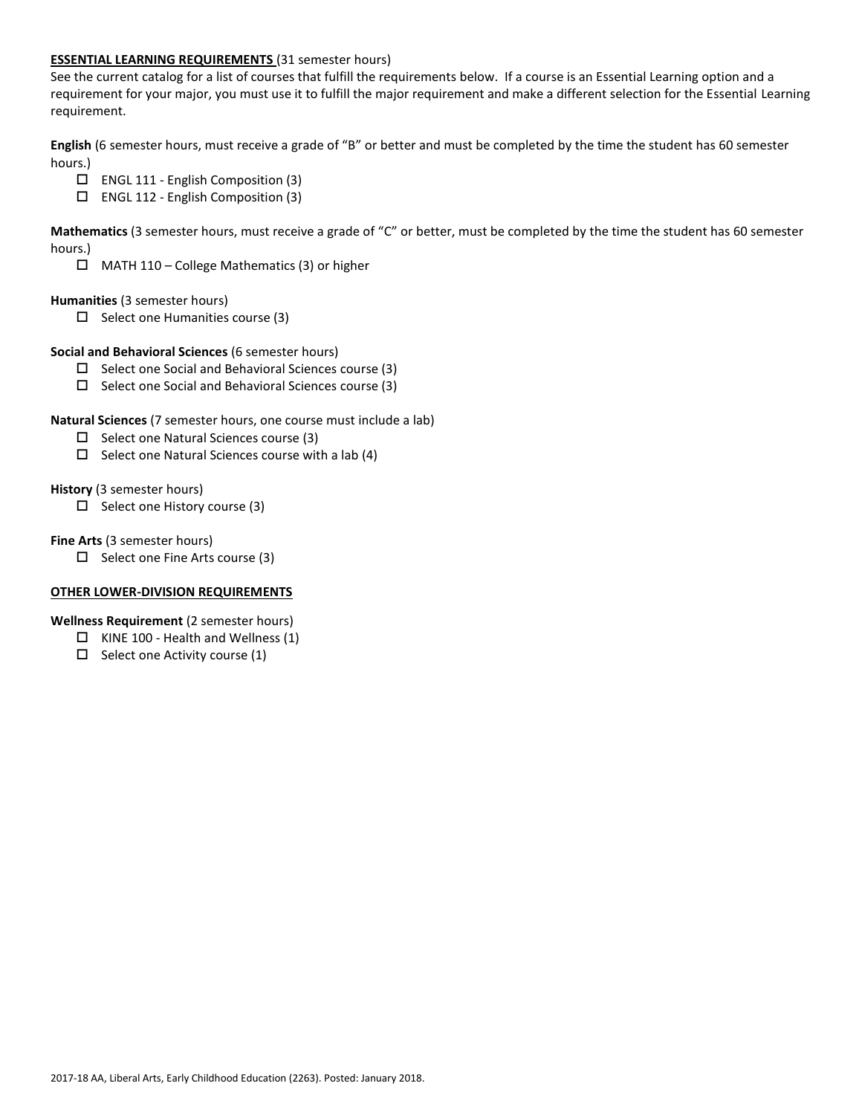#### **ESSENTIAL LEARNING REQUIREMENTS** (31 semester hours)

See the current catalog for a list of courses that fulfill the requirements below. If a course is an Essential Learning option and a requirement for your major, you must use it to fulfill the major requirement and make a different selection for the Essential Learning requirement.

**English** (6 semester hours, must receive a grade of "B" or better and must be completed by the time the student has 60 semester hours.)

- ENGL 111 English Composition (3)
- ENGL 112 English Composition (3)

**Mathematics** (3 semester hours, must receive a grade of "C" or better, must be completed by the time the student has 60 semester hours.)

 $\Box$  MATH 110 – College Mathematics (3) or higher

#### **Humanities** (3 semester hours)

 $\Box$  Select one Humanities course (3)

#### **Social and Behavioral Sciences** (6 semester hours)

- $\square$  Select one Social and Behavioral Sciences course (3)
- $\square$  Select one Social and Behavioral Sciences course (3)

#### **Natural Sciences** (7 semester hours, one course must include a lab)

- $\Box$  Select one Natural Sciences course (3)
- $\square$  Select one Natural Sciences course with a lab (4)

#### **History** (3 semester hours)

 $\Box$  Select one History course (3)

#### **Fine Arts** (3 semester hours)

 $\Box$  Select one Fine Arts course (3)

### **OTHER LOWER-DIVISION REQUIREMENTS**

#### **Wellness Requirement** (2 semester hours)

- $\Box$  KINE 100 Health and Wellness (1)
- $\Box$  Select one Activity course (1)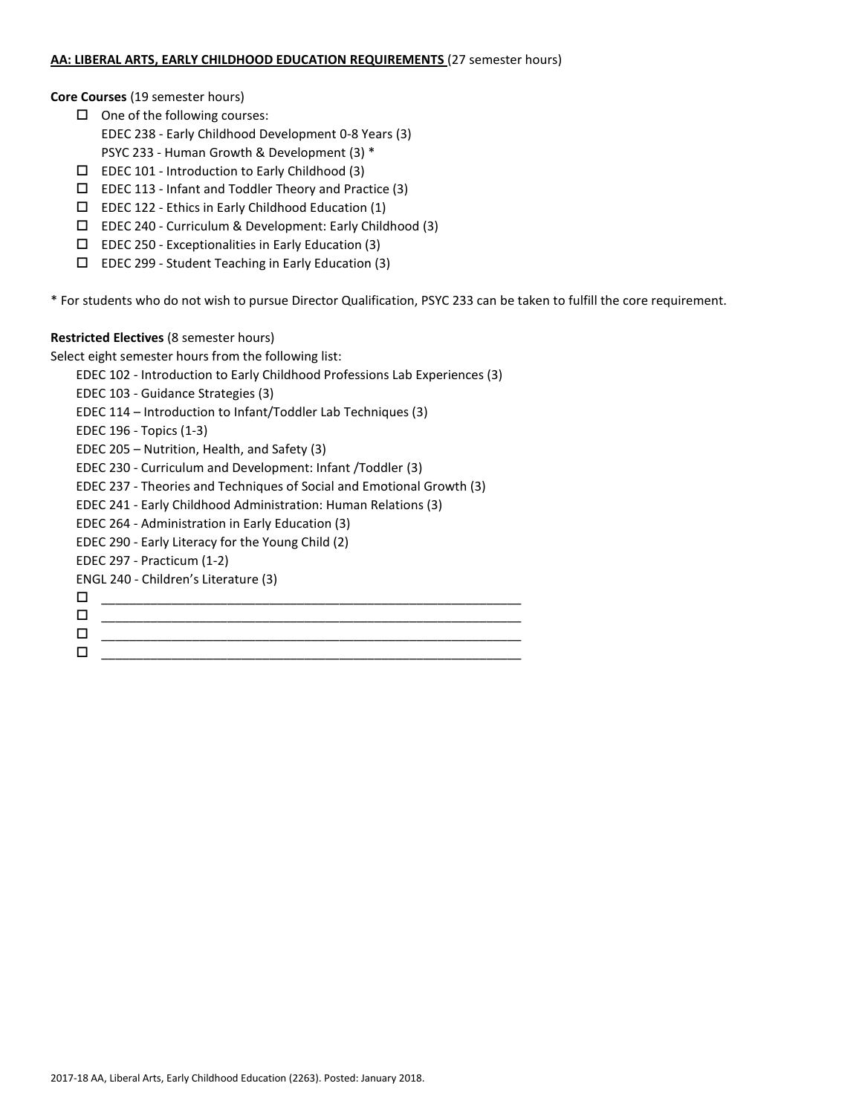#### **AA: LIBERAL ARTS, EARLY CHILDHOOD EDUCATION REQUIREMENTS** (27 semester hours)

**Core Courses** (19 semester hours)

- $\Box$  One of the following courses:
	- EDEC 238 Early Childhood Development 0-8 Years (3)
- PSYC 233 Human Growth & Development (3) \*
- $\square$  EDEC 101 Introduction to Early Childhood (3)
- $\Box$  EDEC 113 Infant and Toddler Theory and Practice (3)
- $\square$  EDEC 122 Ethics in Early Childhood Education (1)
- $\Box$  EDEC 240 Curriculum & Development: Early Childhood (3)
- $\square$  EDEC 250 Exceptionalities in Early Education (3)
- $\square$  EDEC 299 Student Teaching in Early Education (3)

\* For students who do not wish to pursue Director Qualification, PSYC 233 can be taken to fulfill the core requirement.

### **Restricted Electives** (8 semester hours)

Select eight semester hours from the following list:

EDEC 102 - Introduction to Early Childhood Professions Lab Experiences (3)

EDEC 103 - Guidance Strategies (3)

EDEC 114 – Introduction to Infant/Toddler Lab Techniques (3)

EDEC 196 - Topics (1-3)

EDEC 205 – Nutrition, Health, and Safety (3)

EDEC 230 - Curriculum and Development: Infant /Toddler (3)

EDEC 237 - Theories and Techniques of Social and Emotional Growth (3)

EDEC 241 - Early Childhood Administration: Human Relations (3)

EDEC 264 - Administration in Early Education (3)

EDEC 290 - Early Literacy for the Young Child (2)

EDEC 297 - Practicum (1-2)

ENGL 240 - Children's Literature (3)

- \_\_\_\_\_\_\_\_\_\_\_\_\_\_\_\_\_\_\_\_\_\_\_\_\_\_\_\_\_\_\_\_\_\_\_\_\_\_\_\_\_\_\_\_\_\_\_\_\_\_\_\_\_\_\_\_\_\_\_\_
- \_\_\_\_\_\_\_\_\_\_\_\_\_\_\_\_\_\_\_\_\_\_\_\_\_\_\_\_\_\_\_\_\_\_\_\_\_\_\_\_\_\_\_\_\_\_\_\_\_\_\_\_\_\_\_\_\_\_\_\_
- $\Box$  . The contract of the contract of the contract of the contract of the contract of the contract of the contract of the contract of the contract of the contract of the contract of the contract of the contract of the co